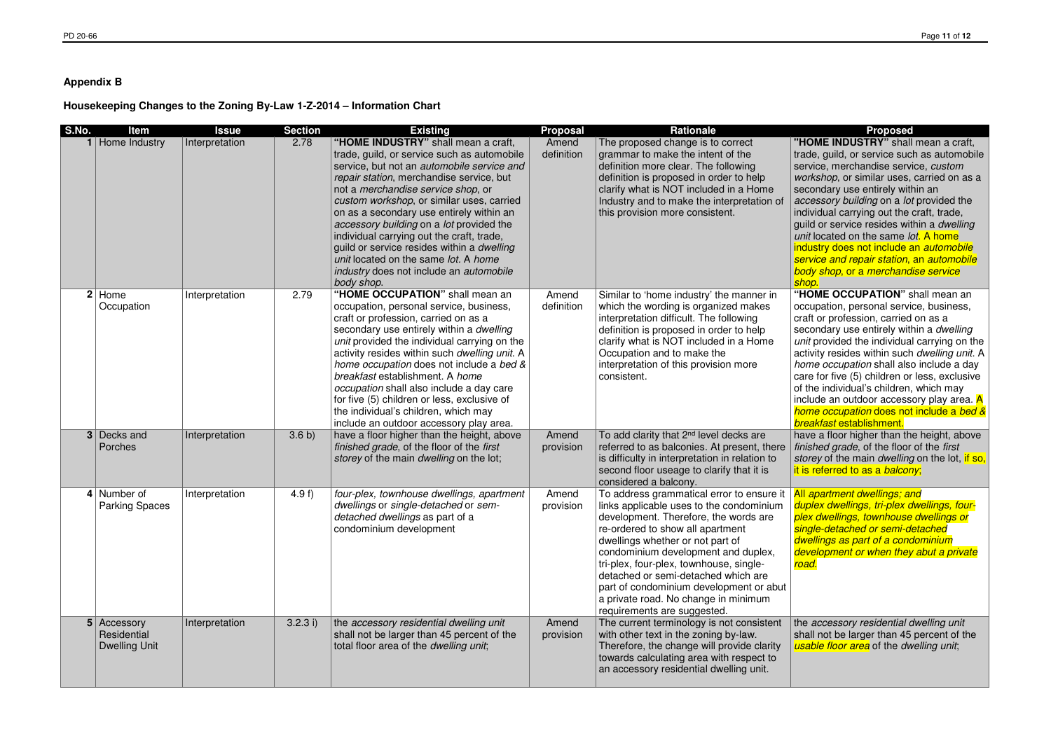## **Appendix B**

## **Housekeeping Changes to the Zoning By-Law 1-Z-2014 – Information Chart**

finished grade, of the floor of the first storey of the main *dwelling* on the lot, if so, it is referred to as a balcony;

All apartment dwellings; and duplex dwellings, tri-plex dwellings, fourplex dwellings, townhouse dwellings or single-detached or semi-detached dwellings as part of a condominium development or when they abut a private road.

**"HOME INDUSTRY"** shall mean a craft, trade, guild, or service such as automobile service, merchandise service, custom workshop, or similar uses, carried on as a secondary use entirely within an accessory building on a lot provided the individual carrying out the craft, trade, guild or service resides within a dwelling | unit located on the same lot. A home industry does not include an *automobile*  service and repair station, an automobile body shop, or a merchandise service shop. **"HOME OCCUPATION"** shall mean an occupation, personal service, business, craft or profession, carried on as a secondary use entirely within a dwelling unit provided the individual carrying on the activity resides within such dwelling unit. A home occupation shall also include a day care for five (5) children or less, exclusive of the individual's children, which may include an outdoor accessory play area. <mark>A</mark> home occupation does not include a bed & breakfast establishment.have a floor higher than the height, above

the accessory residential dwelling unit shall not be larger than 45 percent of the usable floor area of the dwelling unit;

| S.No.          | Item                                               | <b>Issue</b>   | <b>Section</b> | <b>Existing</b>                                                                                                                                                                                                                                                                                                                                                                                                                                                                                                                                                   | <b>Proposal</b>     | Rationale                                                                                                                                                                                                                                                                                                                                                                                                                                         | Proposed                                                                                                                                                                                                                                                                                                                                                                      |
|----------------|----------------------------------------------------|----------------|----------------|-------------------------------------------------------------------------------------------------------------------------------------------------------------------------------------------------------------------------------------------------------------------------------------------------------------------------------------------------------------------------------------------------------------------------------------------------------------------------------------------------------------------------------------------------------------------|---------------------|---------------------------------------------------------------------------------------------------------------------------------------------------------------------------------------------------------------------------------------------------------------------------------------------------------------------------------------------------------------------------------------------------------------------------------------------------|-------------------------------------------------------------------------------------------------------------------------------------------------------------------------------------------------------------------------------------------------------------------------------------------------------------------------------------------------------------------------------|
|                | Home Industry                                      | Interpretation | 2.78           | "HOME INDUSTRY" shall mean a craft,<br>trade, guild, or service such as automobile<br>service, but not an automobile service and<br>repair station, merchandise service, but<br>not a merchandise service shop, or<br>custom workshop, or similar uses, carried<br>on as a secondary use entirely within an<br>accessory building on a lot provided the<br>individual carrying out the craft, trade,<br>guild or service resides within a dwelling<br>unit located on the same lot. A home<br><i>industry</i> does not include an <i>automobile</i><br>body shop. | Amend<br>definition | The proposed change is to correct<br>grammar to make the intent of the<br>definition more clear. The following<br>definition is proposed in order to help<br>clarify what is NOT included in a Home<br>Industry and to make the interpretation of<br>this provision more consistent.                                                                                                                                                              | "HOME INDUSTRY" shall<br>trade, guild, or service suc<br>service, merchandise serv<br>workshop, or similar uses,<br>secondary use entirely witl<br>accessory building on a lo<br>individual carrying out the<br>guild or service resides wit<br>unit located on the same k<br>industry does not include a<br>service and repair station,<br>body shop, or a merchand<br>shop. |
| 2 <sup>1</sup> | Home<br>Occupation                                 | Interpretation | 2.79           | "HOME OCCUPATION" shall mean an<br>occupation, personal service, business,<br>craft or profession, carried on as a<br>secondary use entirely within a dwelling<br>unit provided the individual carrying on the<br>activity resides within such dwelling unit. A<br>home occupation does not include a bed &<br>breakfast establishment. A home<br>occupation shall also include a day care<br>for five (5) children or less, exclusive of<br>the individual's children, which may<br>include an outdoor accessory play area.                                      | Amend<br>definition | Similar to 'home industry' the manner in<br>which the wording is organized makes<br>interpretation difficult. The following<br>definition is proposed in order to help<br>clarify what is NOT included in a Home<br>Occupation and to make the<br>interpretation of this provision more<br>consistent.                                                                                                                                            | "HOME OCCUPATION" s<br>occupation, personal servi<br>craft or profession, carried<br>secondary use entirely witl<br>unit provided the individua<br>activity resides within such<br>home occupation shall alse<br>care for five (5) children or<br>of the individual's children,<br>include an outdoor access<br>home occupation does not<br>breakfast establishment.          |
|                | 3 Decks and<br>Porches                             | Interpretation | 3.6 b)         | have a floor higher than the height, above<br>finished grade, of the floor of the first<br>storey of the main dwelling on the lot;                                                                                                                                                                                                                                                                                                                                                                                                                                | Amend<br>provision  | To add clarity that 2 <sup>nd</sup> level decks are<br>referred to as balconies. At present, there<br>is difficulty in interpretation in relation to<br>second floor useage to clarify that it is<br>considered a balcony.                                                                                                                                                                                                                        | have a floor higher than th<br>finished grade, of the floor<br>storey of the main dwelling<br>it is referred to as a balcor                                                                                                                                                                                                                                                   |
|                | 4 Number of<br><b>Parking Spaces</b>               | Interpretation | 4.9 $f$ )      | four-plex, townhouse dwellings, apartment<br>dwellings or single-detached or sem-<br>detached dwellings as part of a<br>condominium development                                                                                                                                                                                                                                                                                                                                                                                                                   | Amend<br>provision  | To address grammatical error to ensure it<br>links applicable uses to the condominium<br>development. Therefore, the words are<br>re-ordered to show all apartment<br>dwellings whether or not part of<br>condominium development and duplex,<br>tri-plex, four-plex, townhouse, single-<br>detached or semi-detached which are<br>part of condominium development or abut<br>a private road. No change in minimum<br>requirements are suggested. | <b>All apartment dwellings; all</b><br>duplex dwellings, tri-plex a<br>plex dwellings, townhouse<br>single-detached or semi-d<br>dwellings as part of a cond<br>development or when they<br>road.                                                                                                                                                                             |
|                | 5 Accessory<br>Residential<br><b>Dwelling Unit</b> | Interpretation | 3.2.3 i)       | the accessory residential dwelling unit<br>shall not be larger than 45 percent of the<br>total floor area of the <i>dwelling unit</i> ;                                                                                                                                                                                                                                                                                                                                                                                                                           | Amend<br>provision  | The current terminology is not consistent<br>with other text in the zoning by-law.<br>Therefore, the change will provide clarity<br>towards calculating area with respect to<br>an accessory residential dwelling unit.                                                                                                                                                                                                                           | the accessory residential of<br>shall not be larger than 45<br>usable floor area of the dw                                                                                                                                                                                                                                                                                    |